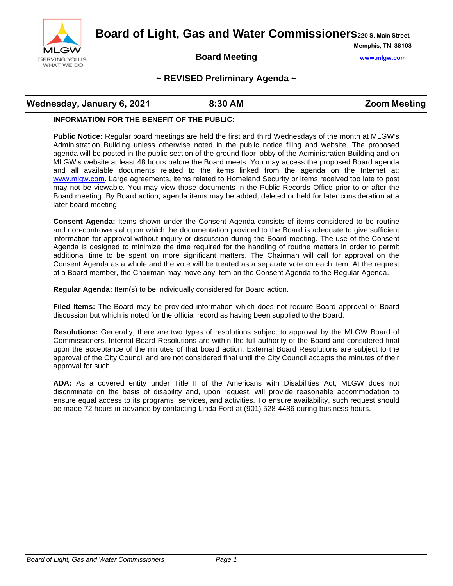

**Board of Light, Gas and Water Commissioners220 S. Main Street**

### **Board Meeting www.mlgw.com**

**Memphis, TN 38103**

### **~ REVISED Preliminary Agenda ~**

# **Wednesday, January 6, 2021 8:30 AM Reading Zoom Meeting**

#### **INFORMATION FOR THE BENEFIT OF THE PUBLIC**:

**Public Notice:** Regular board meetings are held the first and third Wednesdays of the month at MLGW's Administration Building unless otherwise noted in the public notice filing and website. The proposed agenda will be posted in the public section of the ground floor lobby of the Administration Building and on MLGW's website at least 48 hours before the Board meets. You may access the proposed Board agenda and all available documents related to the items linked from the agenda on the Internet at: [www.mlgw.com.](http://www.mlgw.com/) Large agreements, items related to Homeland Security or items received too late to post may not be viewable. You may view those documents in the Public Records Office prior to or after the Board meeting. By Board action, agenda items may be added, deleted or held for later consideration at a later board meeting.

**Consent Agenda:** Items shown under the Consent Agenda consists of items considered to be routine and non-controversial upon which the documentation provided to the Board is adequate to give sufficient information for approval without inquiry or discussion during the Board meeting. The use of the Consent Agenda is designed to minimize the time required for the handling of routine matters in order to permit additional time to be spent on more significant matters. The Chairman will call for approval on the Consent Agenda as a whole and the vote will be treated as a separate vote on each item. At the request of a Board member, the Chairman may move any item on the Consent Agenda to the Regular Agenda.

**Regular Agenda:** Item(s) to be individually considered for Board action.

**Filed Items:** The Board may be provided information which does not require Board approval or Board discussion but which is noted for the official record as having been supplied to the Board.

**Resolutions:** Generally, there are two types of resolutions subject to approval by the MLGW Board of Commissioners. Internal Board Resolutions are within the full authority of the Board and considered final upon the acceptance of the minutes of that board action. External Board Resolutions are subject to the approval of the City Council and are not considered final until the City Council accepts the minutes of their approval for such.

**ADA:** As a covered entity under Title II of the Americans with Disabilities Act, MLGW does not discriminate on the basis of disability and, upon request, will provide reasonable accommodation to ensure equal access to its programs, services, and activities. To ensure availability, such request should be made 72 hours in advance by contacting Linda Ford at (901) 528-4486 during business hours.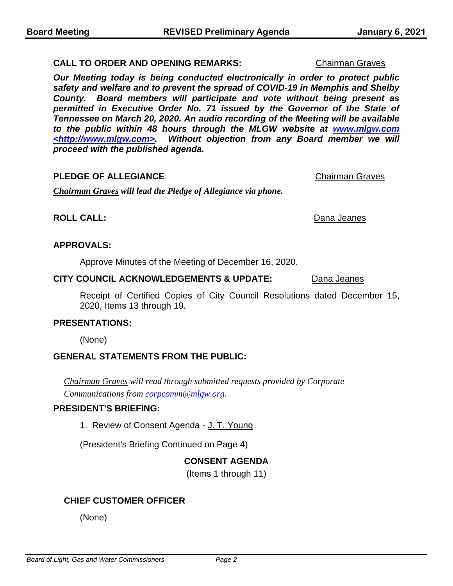#### **CALL TO ORDER AND OPENING REMARKS: Chairman Graves**

*Our Meeting today is being conducted electronically in order to protect public safety and welfare and to prevent the spread of COVID-19 in Memphis and Shelby County. Board members will participate and vote without being present as permitted in Executive Order No. 71 issued by the Governor of the State of Tennessee on March 20, 2020. An audio recording of the Meeting will be available to the public within 48 hours through the MLGW website at www.mlgw.com <http://www.mlgw.com>. Without objection from any Board member we will proceed with the published agenda.*

#### **PLEDGE OF ALLEGIANCE:** Chairman Graves

*Chairman Graves will lead the Pledge of Allegiance via phone.*

#### **ROLL CALL:** Dana Jeanes

#### **APPROVALS:**

Approve Minutes of the Meeting of December 16, 2020.

#### **CITY COUNCIL ACKNOWLEDGEMENTS & UPDATE:** Dana Jeanes

Receipt of Certified Copies of City Council Resolutions dated December 15, 2020, Items 13 through 19.

#### **PRESENTATIONS:**

(None)

### **GENERAL STATEMENTS FROM THE PUBLIC:**

*Chairman Graves will read through submitted requests provided by Corporate Communications from corpcomm@mlgw.org.*

#### **PRESIDENT'S BRIEFING:**

1. Review of Consent Agenda - J. T. Young

(President's Briefing Continued on Page 4)

### **CONSENT AGENDA**

(Items 1 through 11)

### **CHIEF CUSTOMER OFFICER**

(None)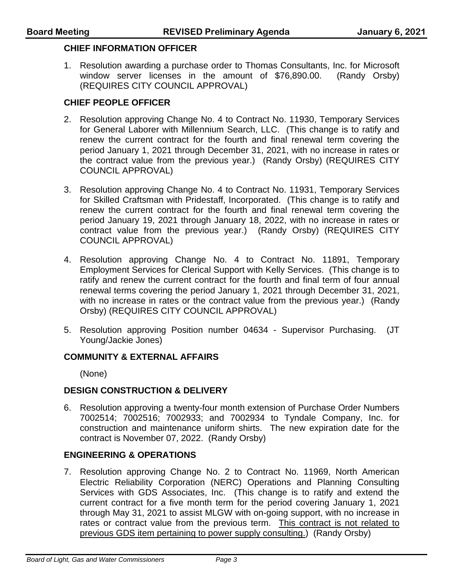#### **CHIEF INFORMATION OFFICER**

1. Resolution awarding a purchase order to Thomas Consultants, Inc. for Microsoft window server licenses in the amount of \$76,890.00. (Randy Orsby) (REQUIRES CITY COUNCIL APPROVAL)

### **CHIEF PEOPLE OFFICER**

- 2. Resolution approving Change No. 4 to Contract No. 11930, Temporary Services for General Laborer with Millennium Search, LLC. (This change is to ratify and renew the current contract for the fourth and final renewal term covering the period January 1, 2021 through December 31, 2021, with no increase in rates or the contract value from the previous year.) (Randy Orsby) (REQUIRES CITY COUNCIL APPROVAL)
- 3. Resolution approving Change No. 4 to Contract No. 11931, Temporary Services for Skilled Craftsman with Pridestaff, Incorporated. (This change is to ratify and renew the current contract for the fourth and final renewal term covering the period January 19, 2021 through January 18, 2022, with no increase in rates or contract value from the previous year.) (Randy Orsby) (REQUIRES CITY COUNCIL APPROVAL)
- 4. Resolution approving Change No. 4 to Contract No. 11891, Temporary Employment Services for Clerical Support with Kelly Services. (This change is to ratify and renew the current contract for the fourth and final term of four annual renewal terms covering the period January 1, 2021 through December 31, 2021, with no increase in rates or the contract value from the previous year.) (Randy Orsby) (REQUIRES CITY COUNCIL APPROVAL)
- 5. Resolution approving Position number 04634 Supervisor Purchasing. (JT Young/Jackie Jones)

### **COMMUNITY & EXTERNAL AFFAIRS**

(None)

### **DESIGN CONSTRUCTION & DELIVERY**

6. Resolution approving a twenty-four month extension of Purchase Order Numbers 7002514; 7002516; 7002933; and 7002934 to Tyndale Company, Inc. for construction and maintenance uniform shirts. The new expiration date for the contract is November 07, 2022. (Randy Orsby)

### **ENGINEERING & OPERATIONS**

7. Resolution approving Change No. 2 to Contract No. 11969, North American Electric Reliability Corporation (NERC) Operations and Planning Consulting Services with GDS Associates, Inc. (This change is to ratify and extend the current contract for a five month term for the period covering January 1, 2021 through May 31, 2021 to assist MLGW with on-going support, with no increase in rates or contract value from the previous term. This contract is not related to previous GDS item pertaining to power supply consulting.) (Randy Orsby)